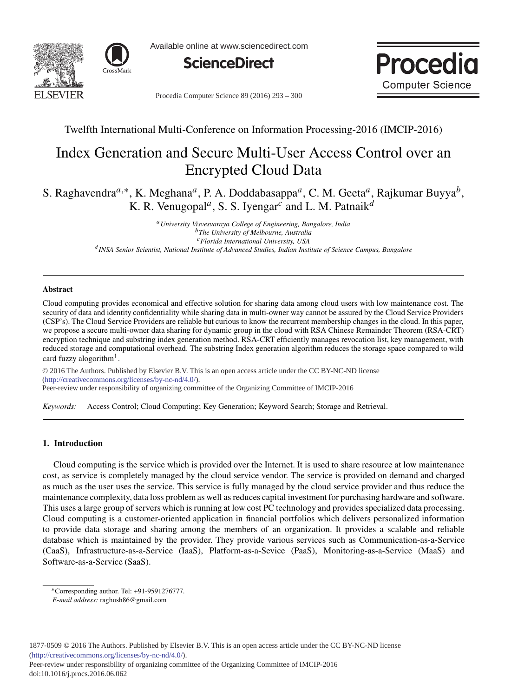



Available online at www.sciencedirect.com





Procedia Computer Science 89 (2016) 293 - 300

# Twelfth International Multi-Conference on Information Processing-2016 (IMCIP-2016)

# Index Generation and Secure Multi-User Access Control over an Encrypted Cloud Data

S. Raghavendra*a*,∗, K. Meghana*a*, P. A. Doddabasappa*a*, C. M. Geeta*a*, Rajkumar Buyya*b*, K. R. Venugopal*a*, S. S. Iyengar*<sup>c</sup>* and L. M. Patnaik*<sup>d</sup>*

> *aUniversity Visvesvaraya College of Engineering, Bangalore, India bThe University of Melbourne, Australia cFlorida International University, USA <sup>d</sup> INSA Senior Scientist, National Institute of Advanced Studies, Indian Institute of Science Campus, Bangalore*

# **Abstract**

Cloud computing provides economical and effective solution for sharing data among cloud users with low maintenance cost. The security of data and identity confidentiality while sharing data in multi-owner way cannot be assured by the Cloud Service Providers (CSP's). The Cloud Service Providers are reliable but curious to know the recurrent membership changes in the cloud. In this paper, we propose a secure multi-owner data sharing for dynamic group in the cloud with RSA Chinese Remainder Theorem (RSA-CRT) encryption technique and substring index generation method. RSA-CRT efficiently manages revocation list, key management, with reduced storage and computational overhead. The substring Index generation algorithm reduces the storage space compared to wild card fuzzy alogorithm<sup>1</sup>.

© 2016 The Authors. Published by Elsevier B.V. © 2016 The Authors. Published by Elsevier B.V. This is an open access article under the CC BY-NC-ND license (http://creativecommons.org/licenses/by-nc-nd/4.0/). Peer-review under responsibility of organizing committee of the Organizing Committee of IMCIP-2016

*Keywords:* Access Control; Cloud Computing; Key Generation; Keyword Search; Storage and Retrieval.

# **1. Introduction**

Cloud computing is the service which is provided over the Internet. It is used to share resource at low maintenance cost, as service is completely managed by the cloud service vendor. The service is provided on demand and charged as much as the user uses the service. This service is fully managed by the cloud service provider and thus reduce the maintenance complexity, data loss problem as well asreduces capital investment for purchasing hardware and software. This uses a large group of servers which is running at low cost PC technology and provides specialized data processing. Cloud computing is a customer-oriented application in financial portfolios which delivers personalized information to provide data storage and sharing among the members of an organization. It provides a scalable and reliable database which is maintained by the provider. They provide various services such as Communication-as-a-Service (CaaS), Infrastructure-as-a-Service (IaaS), Platform-as-a-Sevice (PaaS), Monitoring-as-a-Service (MaaS) and Software-as-a-Service (SaaS).

Peer-review under responsibility of organizing committee of the Organizing Committee of IMCIP-2016 doi: 10.1016/j.procs.2016.06.062

<sup>∗</sup>Corresponding author. Tel: +91-9591276777.

*E-mail address:* raghush86@gmail.com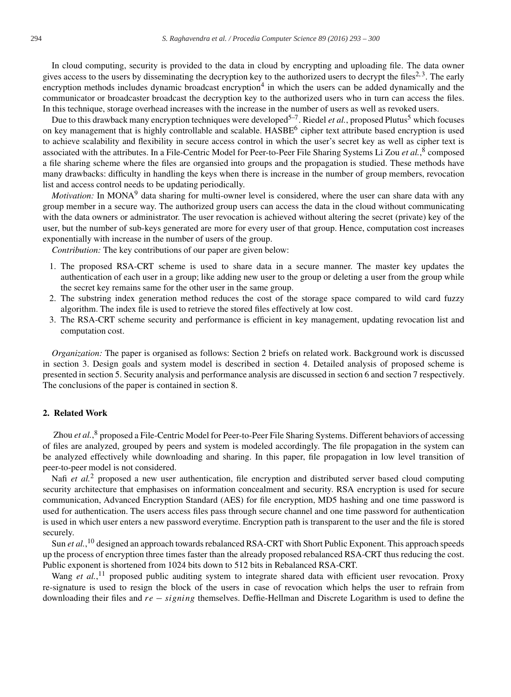In cloud computing, security is provided to the data in cloud by encrypting and uploading file. The data owner gives access to the users by disseminating the decryption key to the authorized users to decrypt the files<sup>2,3</sup>. The early encryption methods includes dynamic broadcast encryption<sup>4</sup> in which the users can be added dynamically and the communicator or broadcaster broadcast the decryption key to the authorized users who in turn can access the files. In this technique, storage overhead increases with the increase in the number of users as well as revoked users.

Due to this drawback many encryption techniques were developed<sup>5-7</sup>. Riedel *et al.*, proposed Plutus<sup>5</sup> which focuses on key management that is highly controllable and scalable. HASBE<sup>6</sup> cipher text attribute based encryption is used to achieve scalability and flexibility in secure access control in which the user's secret key as well as cipher text is associated with the attributes. In a File-Centric Model for Peer-to-Peer File Sharing Systems Li Zou *et al.*, <sup>8</sup> composed a file sharing scheme where the files are organsied into groups and the propagation is studied. These methods have many drawbacks: difficulty in handling the keys when there is increase in the number of group members, revocation list and access control needs to be updating periodically.

*Motivation:* In MONA<sup>9</sup> data sharing for multi-owner level is considered, where the user can share data with any group member in a secure way. The authorized group users can access the data in the cloud without communicating with the data owners or administrator. The user revocation is achieved without altering the secret (private) key of the user, but the number of sub-keys generated are more for every user of that group. Hence, computation cost increases exponentially with increase in the number of users of the group.

*Contribution:* The key contributions of our paper are given below:

- 1. The proposed RSA-CRT scheme is used to share data in a secure manner. The master key updates the authentication of each user in a group; like adding new user to the group or deleting a user from the group while the secret key remains same for the other user in the same group.
- 2. The substring index generation method reduces the cost of the storage space compared to wild card fuzzy algorithm. The index file is used to retrieve the stored files effectively at low cost.
- 3. The RSA-CRT scheme security and performance is efficient in key management, updating revocation list and computation cost.

*Organization:* The paper is organised as follows: Section 2 briefs on related work. Background work is discussed in section 3. Design goals and system model is described in section 4. Detailed analysis of proposed scheme is presented in section 5. Security analysis and performance analysis are discussed in section 6 and section 7 respectively. The conclusions of the paper is contained in section 8.

# **2. Related Work**

Zhou *et al.*,<sup>8</sup> proposed a File-Centric Model for Peer-to-Peer File Sharing Systems. Different behaviors of accessing of files are analyzed, grouped by peers and system is modeled accordingly. The file propagation in the system can be analyzed effectively while downloading and sharing. In this paper, file propagation in low level transition of peer-to-peer model is not considered.

Nafi *et al.*<sup>2</sup> proposed a new user authentication, file encryption and distributed server based cloud computing security architecture that emphasises on information concealment and security. RSA encryption is used for secure communication, Advanced Encryption Standard (AES) for file encryption, MD5 hashing and one time password is used for authentication. The users access files pass through secure channel and one time password for authentication is used in which user enters a new password everytime. Encryption path is transparent to the user and the file is stored securely.

Sun *et al.*,<sup>10</sup> designed an approach towards rebalanced RSA-CRT with Short Public Exponent. This approach speeds up the process of encryption three times faster than the already proposed rebalanced RSA-CRT thus reducing the cost. Public exponent is shortened from 1024 bits down to 512 bits in Rebalanced RSA-CRT.

Wang et al.,<sup>11</sup> proposed public auditing system to integrate shared data with efficient user revocation. Proxy re-signature is used to resign the block of the users in case of revocation which helps the user to refrain from downloading their files and *re* − *signing* themselves. Deffie-Hellman and Discrete Logarithm is used to define the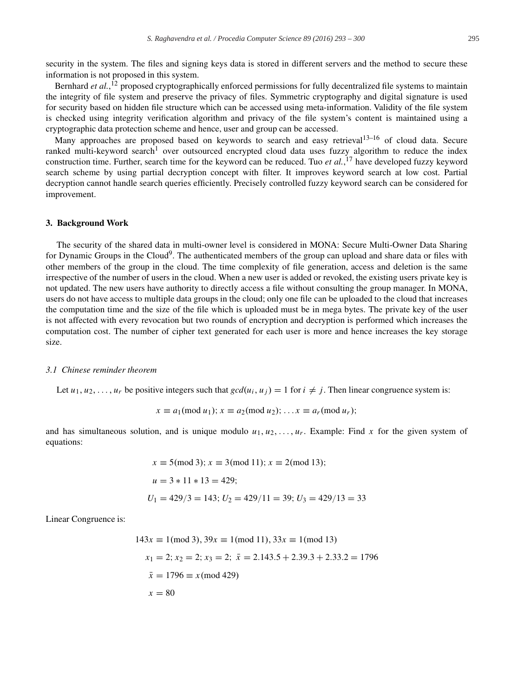security in the system. The files and signing keys data is stored in different servers and the method to secure these information is not proposed in this system.

Bernhard *et al.*,<sup>12</sup> proposed cryptographically enforced permissions for fully decentralized file systems to maintain the integrity of file system and preserve the privacy of files. Symmetric cryptography and digital signature is used for security based on hidden file structure which can be accessed using meta-information. Validity of the file system is checked using integrity verification algorithm and privacy of the file system's content is maintained using a cryptographic data protection scheme and hence, user and group can be accessed.

Many approaches are proposed based on keywords to search and easy retrieval<sup>13-16</sup> of cloud data. Secure ranked multi-keyword search<sup>1</sup> over outsourced encrypted cloud data uses fuzzy algorithm to reduce the index construction time. Further, search time for the keyword can be reduced. Tuo *et al.*, <sup>17</sup> have developed fuzzy keyword search scheme by using partial decryption concept with filter. It improves keyword search at low cost. Partial decryption cannot handle search queries efficiently. Precisely controlled fuzzy keyword search can be considered for improvement.

#### **3. Background Work**

The security of the shared data in multi-owner level is considered in MONA: Secure Multi-Owner Data Sharing for Dynamic Groups in the Cloud<sup>9</sup>. The authenticated members of the group can upload and share data or files with other members of the group in the cloud. The time complexity of file generation, access and deletion is the same irrespective of the number of users in the cloud. When a new user is added or revoked, the existing users private key is not updated. The new users have authority to directly access a file without consulting the group manager. In MONA, users do not have access to multiple data groups in the cloud; only one file can be uploaded to the cloud that increases the computation time and the size of the file which is uploaded must be in mega bytes. The private key of the user is not affected with every revocation but two rounds of encryption and decryption is performed which increases the computation cost. The number of cipher text generated for each user is more and hence increases the key storage size.

#### *3.1 Chinese reminder theorem*

Let  $u_1, u_2, \ldots, u_r$  be positive integers such that  $gcd(u_i, u_j) = 1$  for  $i \neq j$ . Then linear congruence system is:

$$
x \equiv a_1 \pmod{u_1}; x \equiv a_2 \pmod{u_2}; \ldots x \equiv a_r \pmod{u_r};
$$

and has simultaneous solution, and is unique modulo  $u_1, u_2, \ldots, u_r$ . Example: Find x for the given system of equations:

$$
x \equiv 5 \pmod{3}; x \equiv 3 \pmod{11}; x \equiv 2 \pmod{13};
$$
  

$$
u = 3 * 11 * 13 = 429;
$$
  

$$
U_1 = 429/3 = 143; U_2 = 429/11 = 39; U_3 = 429/13 = 33
$$

Linear Congruence is:

$$
143x \equiv 1 \pmod{3}, 39x \equiv 1 \pmod{11}, 33x \equiv 1 \pmod{13}
$$
  

$$
x_1 = 2; x_2 = 2; x_3 = 2; \ \bar{x} = 2.143.5 + 2.39.3 + 2.33.2 = 1796
$$
  

$$
\bar{x} = 1796 \equiv x \pmod{429}
$$
  

$$
x = 80
$$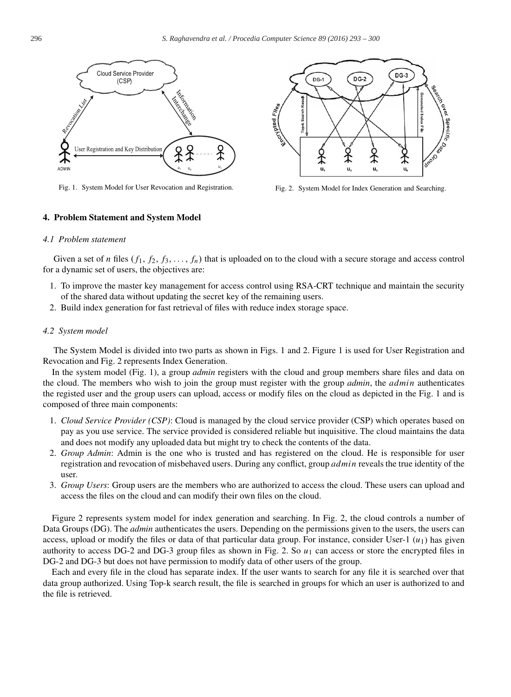

Fig. 1. System Model for User Revocation and Registration. Fig. 2. System Model for Index Generation and Searching.



#### **4. Problem Statement and System Model**

#### *4.1 Problem statement*

Given a set of *n* files  $(f_1, f_2, f_3, \ldots, f_n)$  that is uploaded on to the cloud with a secure storage and access control for a dynamic set of users, the objectives are:

- 1. To improve the master key management for access control using RSA-CRT technique and maintain the security of the shared data without updating the secret key of the remaining users.
- 2. Build index generation for fast retrieval of files with reduce index storage space.

#### *4.2 System model*

The System Model is divided into two parts as shown in Figs. 1 and 2. Figure 1 is used for User Registration and Revocation and Fig. 2 represents Index Generation.

In the system model (Fig. 1), a group *admin* registers with the cloud and group members share files and data on the cloud. The members who wish to join the group must register with the group *admin*, the *admin* authenticates the registed user and the group users can upload, access or modify files on the cloud as depicted in the Fig. 1 and is composed of three main components:

- 1. *Cloud Service Provider (CSP)*: Cloud is managed by the cloud service provider (CSP) which operates based on pay as you use service. The service provided is considered reliable but inquisitive. The cloud maintains the data and does not modify any uploaded data but might try to check the contents of the data.
- 2. *Group Admin*: Admin is the one who is trusted and has registered on the cloud. He is responsible for user registration and revocation of misbehaved users. During any conflict, group *admin* reveals the true identity of the user.
- 3. *Group Users*: Group users are the members who are authorized to access the cloud. These users can upload and access the files on the cloud and can modify their own files on the cloud.

Figure 2 represents system model for index generation and searching. In Fig. 2, the cloud controls a number of Data Groups (DG). The *admin* authenticates the users. Depending on the permissions given to the users, the users can access, upload or modify the files or data of that particular data group. For instance, consider User-1 (*u*1) has given authority to access DG-2 and DG-3 group files as shown in Fig. 2. So  $u_1$  can access or store the encrypted files in DG-2 and DG-3 but does not have permission to modify data of other users of the group.

Each and every file in the cloud has separate index. If the user wants to search for any file it is searched over that data group authorized. Using Top-k search result, the file is searched in groups for which an user is authorized to and the file is retrieved.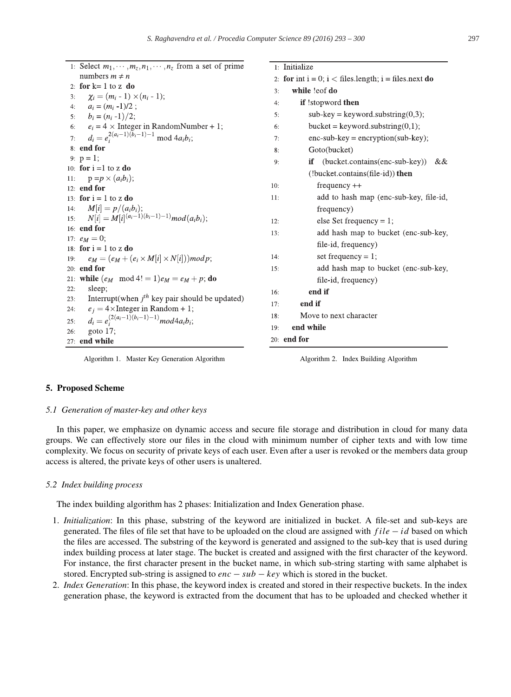```
1: Select m_1, \dots, m_z, n_1, \dots, n_z from a set of prime
    numbers m \neq n2: for k=1 to z do
       \chi_i = (m_i - 1) \times (n_i - 1);3:a_i = (m_i - 1)/2;
 4:\varsigma.
       b_i = (n_i - 1)/2;
       e_i = 4 \times Integer in RandomNumber + 1;
 6:d_i = e_i^{2(a_i-1)(b_i-1)-1} mod 4a_ib_i;
 7.8: end for
 9: p = 1;
10: for i = 1 to z do
       p = p \times (a_i b_i);11:12: end for
13: for i = 1 to z do
       M[i] = p/(a_i b_i);14<sup>·</sup>N[i] = M[i]^{(a_i-1)(b_i-1)-1)}mod(a_ib_i);
15.16: end for
17: e_M = 0;
18: for i = 1 to z do
       e_M = (e_M + (e_i \times M[i] \times N[i])) \mod p;19 -20: end for
21: while (e_M \mod 4! = 1)e_M = e_M + p; do
       sleep:
22.5Interrupt(when j^{th} key pair should be updated)
23.e_i = 4 \timesInteger in Random + 1;
24:d_i = e^{(2(a_i-1)(b_i-1)-1)}mod4a_ib_i;
25:goto 17;
26.27: end while
```
Algorithm 1. Master Key Generation Algorithm Algorithm 2. Index Building Algorithm

| 2:<br>3:<br>4: | for int $i = 0$ ; $i <$ files.length; $i =$ files.next <b>do</b><br>while leof do |
|----------------|-----------------------------------------------------------------------------------|
|                |                                                                                   |
|                |                                                                                   |
|                | <b>if</b> !stopword <b>then</b>                                                   |
| 5:             | sub-key = keyword.substring $(0,3)$ ;                                             |
| 6:             | bucket = keyword.substring $(0,1)$ ;                                              |
| 7:             | $enc-sub-key = encryption(sub-key);$                                              |
| 8:             | Goto(bucket)                                                                      |
| 9:             | (bucket.contains(enc-sub-key))<br>&&<br>if                                        |
|                | $(!bucket. contains(file-id))$ then                                               |
| 10:            | frequency $++$                                                                    |
| 11:            | add to hash map (enc-sub-key, file-id,                                            |
|                | frequency)                                                                        |
| 12:            | else Set frequency = $1$ ;                                                        |
| 13:            | add hash map to bucket (enc-sub-key,                                              |
|                | file-id, frequency)                                                               |
| 14:            | set frequency = $1$ ;                                                             |
| 15:            | add hash map to bucket (enc-sub-key,                                              |
|                | file-id, frequency)                                                               |
| 16:            | end if                                                                            |
| 17:            | end if                                                                            |
| 18:            | Move to next character                                                            |
| 19:            | end while                                                                         |
|                | $20:$ end for                                                                     |

# **5. Proposed Scheme**

#### *5.1 Generation of master-key and other keys*

In this paper, we emphasize on dynamic access and secure file storage and distribution in cloud for many data groups. We can effectively store our files in the cloud with minimum number of cipher texts and with low time complexity. We focus on security of private keys of each user. Even after a user is revoked or the members data group access is altered, the private keys of other users is unaltered.

# *5.2 Index building process*

The index building algorithm has 2 phases: Initialization and Index Generation phase.

- 1. *Initialization*: In this phase, substring of the keyword are initialized in bucket. A file-set and sub-keys are generated. The files of file set that have to be uploaded on the cloud are assigned with *file* − *i d* based on which the files are accessed. The substring of the keyword is generated and assigned to the sub-key that is used during index building process at later stage. The bucket is created and assigned with the first character of the keyword. For instance, the first character present in the bucket name, in which sub-string starting with same alphabet is stored. Encrypted sub-string is assigned to *enc* − *sub* − *key* which is stored in the bucket.
- 2. *Index Generation*: In this phase, the keyword index is created and stored in their respective buckets. In the index generation phase, the keyword is extracted from the document that has to be uploaded and checked whether it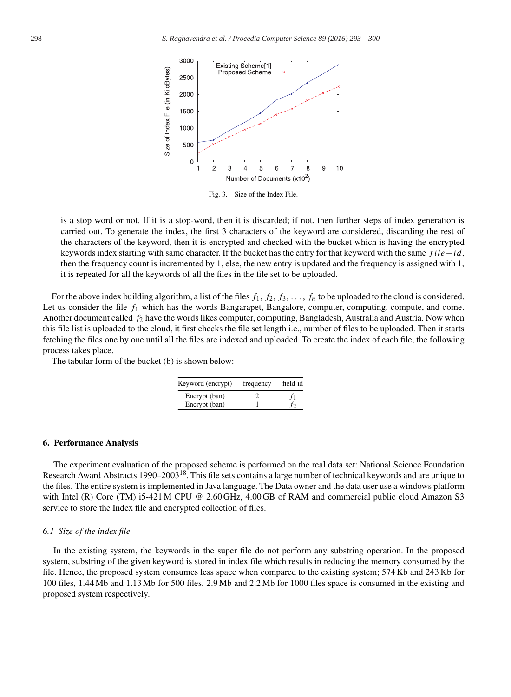

Fig. 3. Size of the Index File.

is a stop word or not. If it is a stop-word, then it is discarded; if not, then further steps of index generation is carried out. To generate the index, the first 3 characters of the keyword are considered, discarding the rest of the characters of the keyword, then it is encrypted and checked with the bucket which is having the encrypted keywords index starting with same character. If the bucket has the entry for that keyword with the same *file*−*i d*, then the frequency count is incremented by 1, else, the new entry is updated and the frequency is assigned with 1, it is repeated for all the keywords of all the files in the file set to be uploaded.

For the above index building algorithm, a list of the files  $f_1, f_2, f_3, \ldots, f_n$  to be uploaded to the cloud is considered. Let us consider the file  $f_1$  which has the words Bangarapet, Bangalore, computer, computing, compute, and come. Another document called *f*<sup>2</sup> have the words likes computer, computing, Bangladesh, Australia and Austria. Now when this file list is uploaded to the cloud, it first checks the file set length i.e., number of files to be uploaded. Then it starts fetching the files one by one until all the files are indexed and uploaded. To create the index of each file, the following process takes place.

The tabular form of the bucket (b) is shown below:

#### **6. Performance Analysis**

The experiment evaluation of the proposed scheme is performed on the real data set: National Science Foundation Research Award Abstracts 1990–200318. This file sets contains a large number of technical keywords and are unique to the files. The entire system is implemented in Java language. The Data owner and the data user use a windows platform with Intel (R) Core (TM) i5-421 M CPU @ 2.60 GHz, 4.00 GB of RAM and commercial public cloud Amazon S3 service to store the Index file and encrypted collection of files.

# *6.1 Size of the index file*

In the existing system, the keywords in the super file do not perform any substring operation. In the proposed system, substring of the given keyword is stored in index file which results in reducing the memory consumed by the file. Hence, the proposed system consumes less space when compared to the existing system; 574 Kb and 243 Kb for 100 files, 1.44 Mb and 1.13 Mb for 500 files, 2.9 Mb and 2.2 Mb for 1000 files space is consumed in the existing and proposed system respectively.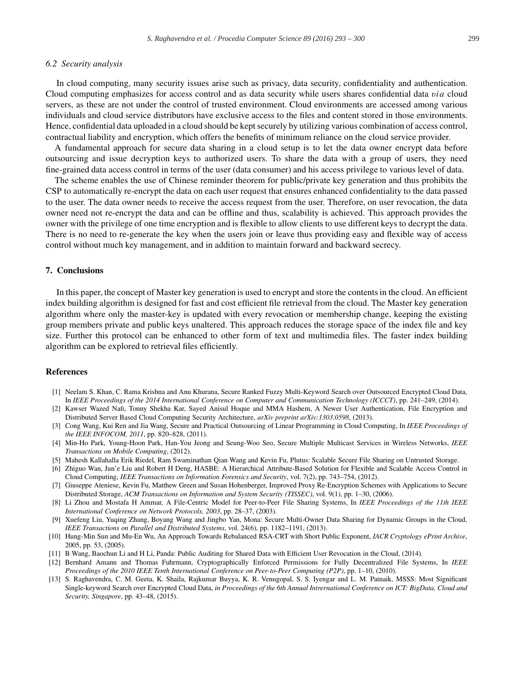#### *6.2 Security analysis*

In cloud computing, many security issues arise such as privacy, data security, confidentiality and authentication. Cloud computing emphasizes for access control and as data security while users shares confidential data v*i a* cloud servers, as these are not under the control of trusted environment. Cloud environments are accessed among various individuals and cloud service distributors have exclusive access to the files and content stored in those environments. Hence, confidential data uploaded in a cloud should be kept securely by utilizing various combination of access control, contractual liability and encryption, which offers the benefits of minimum reliance on the cloud service provider.

A fundamental approach for secure data sharing in a cloud setup is to let the data owner encrypt data before outsourcing and issue decryption keys to authorized users. To share the data with a group of users, they need fine-grained data access control in terms of the user (data consumer) and his access privilege to various level of data.

The scheme enables the use of Chinese reminder theorem for public/private key generation and thus prohibits the CSP to automatically re-encrypt the data on each user request that ensures enhanced confidentiality to the data passed to the user. The data owner needs to receive the access request from the user. Therefore, on user revocation, the data owner need not re-encrypt the data and can be offline and thus, scalability is achieved. This approach provides the owner with the privilege of one time encryption and is flexible to allow clients to use different keys to decrypt the data. There is no need to re-generate the key when the users join or leave thus providing easy and flexible way of access control without much key management, and in addition to maintain forward and backward secrecy.

# **7. Conclusions**

In this paper, the concept of Master key generation is used to encrypt and store the contents in the cloud. An efficient index building algorithm is designed for fast and cost efficient file retrieval from the cloud. The Master key generation algorithm where only the master-key is updated with every revocation or membership change, keeping the existing group members private and public keys unaltered. This approach reduces the storage space of the index file and key size. Further this protocol can be enhanced to other form of text and multimedia files. The faster index building algorithm can be explored to retrieval files efficiently.

## **References**

- [1] Neelam S. Khan, C. Rama Krishna and Anu Khurana, Secure Ranked Fuzzy Multi-Keyword Search over Outsourced Encrypted Cloud Data, In *IEEE Proceedings of the 2014 International Conference on Computer and Communication Technology (ICCCT)*, pp. 241–249, (2014).
- [2] Kawser Wazed Nafi, Tonny Shekha Kar, Sayed Anisul Hoque and MMA Hashem, A Newer User Authentication, File Encryption and Distributed Server Based Cloud Computing Security Architecture, *arXiv preprint arXiv:1303.0598*, (2013).
- [3] Cong Wang, Kui Ren and Jia Wang, Secure and Practical Outsourcing of Linear Programming in Cloud Computing, In *IEEE Proceedings of the IEEE INFOCOM, 2011*, pp. 820–828, (2011).
- [4] Min-Ho Park, Young-Hoon Park, Han-You Jeong and Seung-Woo Seo, Secure Multiple Multicast Services in Wireless Networks, *IEEE Transactions on Mobile Computing*, (2012).
- [5] Mahesh Kallahalla Erik Riedel, Ram Swaminathan Qian Wang and Kevin Fu, Plutus: Scalable Secure File Sharing on Untrusted Storage.
- [6] Zhiguo Wan, Jun'e Liu and Robert H Deng, HASBE: A Hierarchical Attribute-Based Solution for Flexible and Scalable Access Control in Cloud Computing, *IEEE Transactions on Information Forensics and Security*, vol. 7(2), pp. 743–754, (2012).
- [7] Giuseppe Ateniese, Kevin Fu, Matthew Green and Susan Hohenberger, Improved Proxy Re-Encryption Schemes with Applications to Secure Distributed Storage, *ACM Transactions on Information and System Security (TISSEC)*, vol. 9(1), pp. 1–30, (2006).
- [8] Li Zhou and Mostafa H Ammar, A File-Centric Model for Peer-to-Peer File Sharing Systems, In *IEEE Proceedings of the 11th IEEE International Conference on Network Protocols, 2003*, pp. 28–37, (2003).
- [9] Xuefeng Liu, Yuqing Zhang, Boyang Wang and Jingbo Yan, Mona: Secure Multi-Owner Data Sharing for Dynamic Groups in the Cloud, *IEEE Transactions on Parallel and Distributed Systems*, vol. 24(6), pp. 1182–1191, (2013).
- [10] Hung-Min Sun and Mu-En Wu, An Approach Towards Rebalanced RSA-CRT with Short Public Exponent, *IACR Cryptology ePrint Archive*, 2005, pp. 53, (2005).
- [11] B Wang, Baochun Li and H Li, Panda: Public Auditing for Shared Data with Efficient User Revocation in the Cloud, (2014).
- [12] Bernhard Amann and Thomas Fuhrmann, Cryptographically Enforced Permissions for Fully Decentralized File Systems, In *IEEE Proceedings of the 2010 IEEE Tenth International Conference on Peer-to-Peer Computing (P2P)*, pp. 1–10, (2010).
- [13] S. Raghavendra, C. M. Geeta, K. Shaila, Rajkumar Buyya, K. R. Venugopal, S. S. Iyengar and L. M. Patnaik, MSSS: Most Significant Single-keyword Search over Encrypted Cloud Data, *in Proceedings of the 6th Annual Intrernational Conference on ICT: BigData, Cloud and Security, Singapore*, pp. 43–48, (2015).